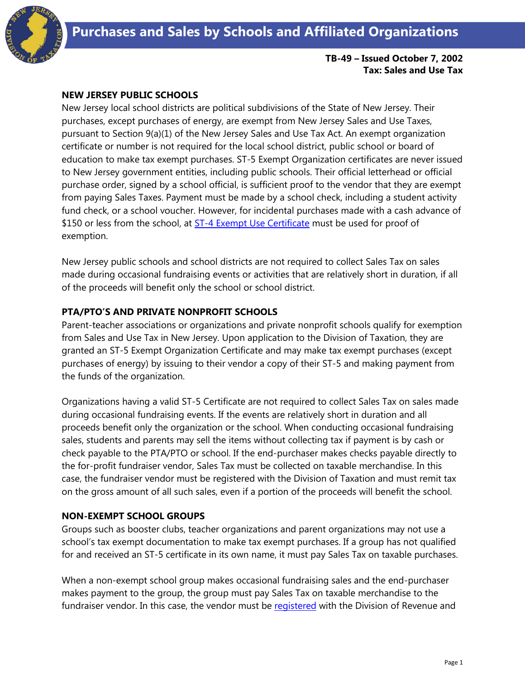

#### **TB-49 – Issued October 7, 2002 Tax: Sales and Use Tax**

### **NEW JERSEY PUBLIC SCHOOLS**

New Jersey local school districts are political subdivisions of the State of New Jersey. Their purchases, except purchases of energy, are exempt from New Jersey Sales and Use Taxes, pursuant to Section 9(a)(1) of the New Jersey Sales and Use Tax Act. An exempt organization certificate or number is not required for the local school district, public school or board of education to make tax exempt purchases. ST-5 Exempt Organization certificates are never issued to New Jersey government entities, including public schools. Their official letterhead or official purchase order, signed by a school official, is sufficient proof to the vendor that they are exempt from paying Sales Taxes. Payment must be made by a school check, including a student activity fund check, or a school voucher. However, for incidental purchases made with a cash advance of \$150 or less from the school, at [ST-4 Exempt Use Certificate](http://www.state.nj.us/treasury/taxation/pdf/other_forms/sales/st4.pdf) must be used for proof of exemption.

New Jersey public schools and school districts are not required to collect Sales Tax on sales made during occasional fundraising events or activities that are relatively short in duration, if all of the proceeds will benefit only the school or school district.

# **PTA/PTO'S AND PRIVATE NONPROFIT SCHOOLS**

Parent-teacher associations or organizations and private nonprofit schools qualify for exemption from Sales and Use Tax in New Jersey. Upon application to the Division of Taxation, they are granted an ST-5 Exempt Organization Certificate and may make tax exempt purchases (except purchases of energy) by issuing to their vendor a copy of their ST-5 and making payment from the funds of the organization.

Organizations having a valid ST-5 Certificate are not required to collect Sales Tax on sales made during occasional fundraising events. If the events are relatively short in duration and all proceeds benefit only the organization or the school. When conducting occasional fundraising sales, students and parents may sell the items without collecting tax if payment is by cash or check payable to the PTA/PTO or school. If the end-purchaser makes checks payable directly to the for-profit fundraiser vendor, Sales Tax must be collected on taxable merchandise. In this case, the fundraiser vendor must be registered with the Division of Taxation and must remit tax on the gross amount of all such sales, even if a portion of the proceeds will benefit the school.

### **NON-EXEMPT SCHOOL GROUPS**

Groups such as booster clubs, teacher organizations and parent organizations may not use a school's tax exempt documentation to make tax exempt purchases. If a group has not qualified for and received an ST-5 certificate in its own name, it must pay Sales Tax on taxable purchases.

When a non-exempt school group makes occasional fundraising sales and the end-purchaser makes payment to the group, the group must pay Sales Tax on taxable merchandise to the fundraiser vendor. In this case, the vendor must be [registered](http://www.state.nj.us/treasury/revenue/revprnt.shtml) with the Division of Revenue and